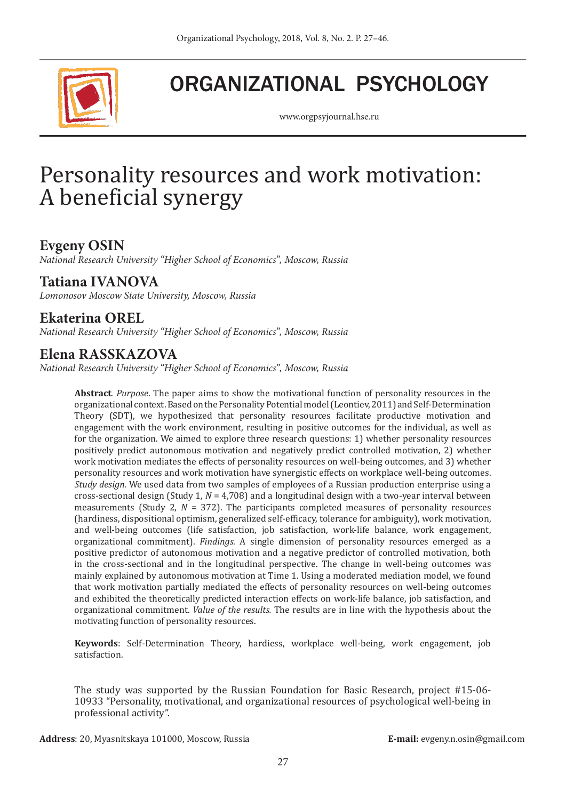

ORGANIZATIONAL PSYCHOLOGY

www.orgpsyjournal.hse.ru

## Personality resources and work motivation: A beneficial synergy

## **Evgeny OSIN**

*National Research University "Higher School of Economics", Moscow, Russia*

## **Tatiana IVANOVA**

*Lomonosov Moscow State University, Moscow, Russia*

## **Ekaterina OREL**

*National Research University "Higher School of Economics", Moscow, Russia*

## **Elena RASSKAZOVA**

*National Research University "Higher School of Economics", Moscow, Russia*

**Abstraсt**. *Purpose*. The paper aims to show the motivational function of personality resources in the organizational context. Based on the Personality Potential model (Leontiev, 2011) and Self-Determination Theory (SDT), we hypothesized that personality resources facilitate productive motivation and engagement with the work environment, resulting in positive outcomes for the individual, as well as for the organization. We aimed to explore three research questions: 1) whether personality resources positively predict autonomous motivation and negatively predict controlled motivation, 2) whether work motivation mediates the effects of personality resources on well-being outcomes, and 3) whether personality resources and work motivation have synergistic effects on workplace well-being outcomes. *Study design*. We used data from two samples of employees of a Russian production enterprise using a cross-sectional design (Study 1,  $N = 4,708$ ) and a longitudinal design with a two-year interval between measurements (Study 2, *N* = 372). The participants completed measures of personality resources (hardiness, dispositional optimism, generalized self-efficacy, tolerance for ambiguity), work motivation, and well-being outcomes (life satisfaction, job satisfaction, work-life balance, work engagement, organizational commitment). *Findings*. A single dimension of personality resources emerged as a positive predictor of autonomous motivation and a negative predictor of controlled motivation, both in the cross-sectional and in the longitudinal perspective. The change in well-being outcomes was mainly explained by autonomous motivation at Time 1. Using a moderated mediation model, we found that work motivation partially mediated the effects of personality resources on well-being outcomes and exhibited the theoretically predicted interaction effects on work-life balance, job satisfaction, and organizational commitment. *Value of the results.* The results are in line with the hypothesis about the motivating function of personality resources.

**Keywords**: Self-Determination Theory, hardiess, workplace well-being, work engagement, job satisfaction.

The study was supported by the Russian Foundation for Basic Research, project #15-06- 10933 "Personality, motivational, and organizational resources of psychological well-being in professional activity".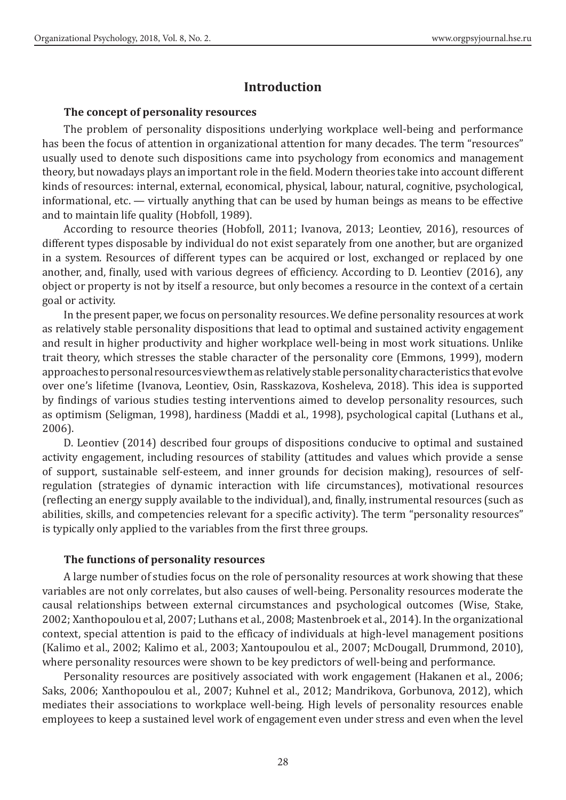## **Introduction**

#### **The concept of personality resources**

The problem of personality dispositions underlying workplace well-being and performance has been the focus of attention in organizational attention for many decades. The term "resources" usually used to denote such dispositions came into psychology from economics and management theory, but nowadays plays an important role in the field. Modern theories take into account different kinds of resources: internal, external, economical, physical, labour, natural, cognitive, psychological, informational, etc. — virtually anything that can be used by human beings as means to be effective and to maintain life quality (Hobfoll, 1989).

According to resource theories (Hobfoll, 2011; Ivanova, 2013; Leontiev, 2016), resources of different types disposable by individual do not exist separately from one another, but are organized in a system. Resources of different types can be acquired or lost, exchanged or replaced by one another, and, finally, used with various degrees of efficiency. According to D. Leontiev (2016), any object or property is not by itself a resource, but only becomes a resource in the context of a certain goal or activity.

In the present paper, we focus on personality resources. We define personality resources at work as relatively stable personality dispositions that lead to optimal and sustained activity engagement and result in higher productivity and higher workplace well-being in most work situations. Unlike trait theory, which stresses the stable character of the personality core (Emmons, 1999), modern approaches to personal resources view them as relatively stable personality characteristics that evolve over one's lifetime (Ivanova, Leontiev, Osin, Rasskazova, Kosheleva, 2018). This idea is supported by findings of various studies testing interventions aimed to develop personality resources, such as optimism (Seligman, 1998), hardiness (Maddi et al., 1998), psychological capital (Luthans et al., 2006).

D. Leontiev (2014) described four groups of dispositions conducive to optimal and sustained activity engagement, including resources of stability (attitudes and values which provide a sense of support, sustainable self-esteem, and inner grounds for decision making), resources of selfregulation (strategies of dynamic interaction with life circumstances), motivational resources (reflecting an energy supply available to the individual), and, finally, instrumental resources (such as abilities, skills, and competencies relevant for a specific activity). The term "personality resources" is typically only applied to the variables from the first three groups.

#### **The functions of personality resources**

A large number of studies focus on the role of personality resources at work showing that these variables are not only correlates, but also causes of well-being. Personality resources moderate the causal relationships between external circumstances and psychological outcomes (Wise, Stake, 2002; Xanthopoulou et al, 2007; Luthans et al., 2008; Mastenbroek et al., 2014). In the organizational context, special attention is paid to the efficacy of individuals at high-level management positions (Kalimo et al., 2002; Kalimo et al., 2003; Xantoupoulou et al., 2007; McDougall, Drummond, 2010), where personality resources were shown to be key predictors of well-being and performance.

Personality resources are positively associated with work engagement (Hakanen et al., 2006; Saks, 2006; Xanthopoulou et al., 2007; Kuhnel et al., 2012; Mandrikova, Gorbunova, 2012), which mediates their associations to workplace well-being. High levels of personality resources enable employees to keep a sustained level work of engagement even under stress and even when the level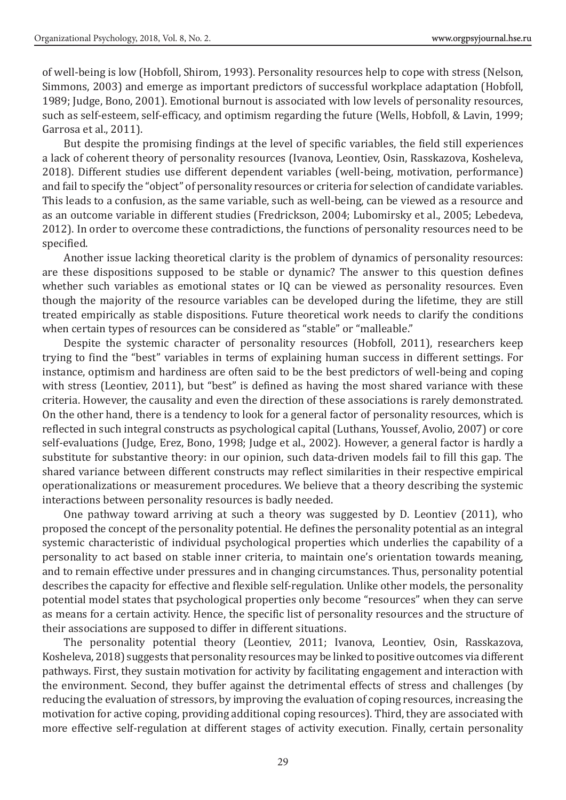of well-being is low (Hobfoll, Shirom, 1993). Personality resources help to cope with stress (Nelson, Simmons, 2003) and emerge as important predictors of successful workplace adaptation (Hobfoll, 1989; Judge, Bono, 2001). Emotional burnout is associated with low levels of personality resources, such as self-esteem, self-efficacy, and optimism regarding the future (Wells, Hobfoll, & Lavin, 1999; Garrosa et al., 2011).

But despite the promising findings at the level of specific variables, the field still experiences a lack of coherent theory of personality resources (Ivanova, Leontiev, Osin, Rasskazova, Kosheleva, 2018). Different studies use different dependent variables (well-being, motivation, performance) and fail to specify the "object" of personality resources or criteria for selection of candidate variables. This leads to a confusion, as the same variable, such as well-being, can be viewed as a resource and as an outcome variable in different studies (Fredrickson, 2004; Lubomirsky et al., 2005; Lebedeva, 2012). In order to overcome these contradictions, the functions of personality resources need to be specified.

Another issue lacking theoretical clarity is the problem of dynamics of personality resources: are these dispositions supposed to be stable or dynamic? The answer to this question defines whether such variables as emotional states or IQ can be viewed as personality resources. Even though the majority of the resource variables can be developed during the lifetime, they are still treated empirically as stable dispositions. Future theoretical work needs to clarify the conditions when certain types of resources can be considered as "stable" or "malleable."

Despite the systemic character of personality resources (Hobfoll, 2011), researchers keep trying to find the "best" variables in terms of explaining human success in different settings. For instance, optimism and hardiness are often said to be the best predictors of well-being and coping with stress (Leontiev, 2011), but "best" is defined as having the most shared variance with these criteria. However, the causality and even the direction of these associations is rarely demonstrated. On the other hand, there is a tendency to look for a general factor of personality resources, which is reflected in such integral constructs as psychological capital (Luthans, Youssef, Avolio, 2007) or core self-evaluations (Judge, Erez, Bono, 1998; Judge et al., 2002). However, a general factor is hardly a substitute for substantive theory: in our opinion, such data-driven models fail to fill this gap. The shared variance between different constructs may reflect similarities in their respective empirical operationalizations or measurement procedures. We believe that a theory describing the systemic interactions between personality resources is badly needed.

One pathway toward arriving at such a theory was suggested by D. Leontiev (2011), who proposed the concept of the personality potential. He defines the personality potential as an integral systemic characteristic of individual psychological properties which underlies the capability of a personality to act based on stable inner criteria, to maintain one's orientation towards meaning, and to remain effective under pressures and in changing circumstances. Thus, personality potential describes the capacity for effective and flexible self-regulation. Unlike other models, the personality potential model states that psychological properties only become "resources" when they can serve as means for a certain activity. Hence, the specific list of personality resources and the structure of their associations are supposed to differ in different situations.

The personality potential theory (Leontiev, 2011; Ivanova, Leontiev, Osin, Rasskazova, Kosheleva, 2018) suggests that personality resources may be linked to positive outcomes via different pathways. First, they sustain motivation for activity by facilitating engagement and interaction with the environment. Second, they buffer against the detrimental effects of stress and challenges (by reducing the evaluation of stressors, by improving the evaluation of coping resources, increasing the motivation for active coping, providing additional coping resources). Third, they are associated with more effective self-regulation at different stages of activity execution. Finally, certain personality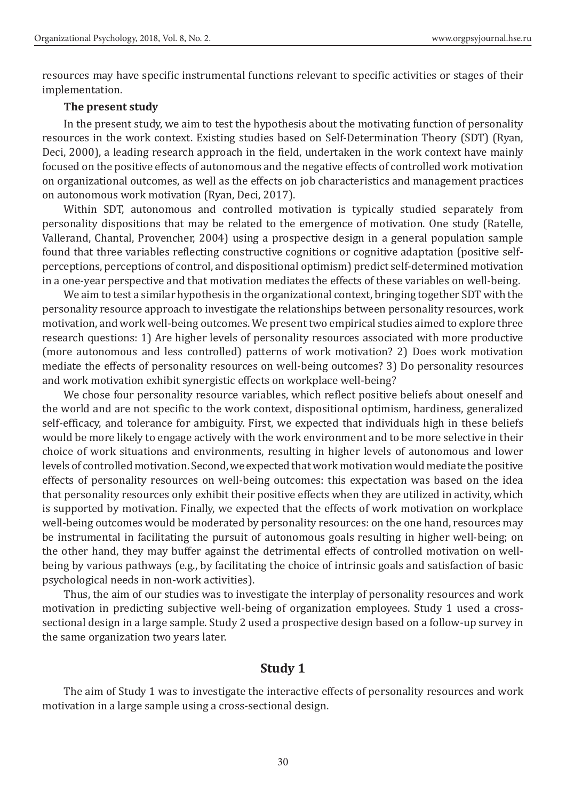resources may have specific instrumental functions relevant to specific activities or stages of their implementation.

#### **The present study**

In the present study, we aim to test the hypothesis about the motivating function of personality resources in the work context. Existing studies based on Self-Determination Theory (SDT) (Ryan, Deci, 2000), a leading research approach in the field, undertaken in the work context have mainly focused on the positive effects of autonomous and the negative effects of controlled work motivation on organizational outcomes, as well as the effects on job characteristics and management practices on autonomous work motivation (Ryan, Deci, 2017).

Within SDT, autonomous and controlled motivation is typically studied separately from personality dispositions that may be related to the emergence of motivation. One study (Ratelle, Vallerand, Chantal, Provencher, 2004) using a prospective design in a general population sample found that three variables reflecting constructive cognitions or cognitive adaptation (positive selfperceptions, perceptions of control, and dispositional optimism) predict self-determined motivation in a one-year perspective and that motivation mediates the effects of these variables on well-being.

We aim to test a similar hypothesis in the organizational context, bringing together SDT with the personality resource approach to investigate the relationships between personality resources, work motivation, and work well-being outcomes. We present two empirical studies aimed to explore three research questions: 1) Are higher levels of personality resources associated with more productive (more autonomous and less controlled) patterns of work motivation? 2) Does work motivation mediate the effects of personality resources on well-being outcomes? 3) Do personality resources and work motivation exhibit synergistic effects on workplace well-being?

We chose four personality resource variables, which reflect positive beliefs about oneself and the world and are not specific to the work context, dispositional optimism, hardiness, generalized self-efficacy, and tolerance for ambiguity. First, we expected that individuals high in these beliefs would be more likely to engage actively with the work environment and to be more selective in their choice of work situations and environments, resulting in higher levels of autonomous and lower levels of controlled motivation. Second, we expected that work motivation would mediate the positive effects of personality resources on well-being outcomes: this expectation was based on the idea that personality resources only exhibit their positive effects when they are utilized in activity, which is supported by motivation. Finally, we expected that the effects of work motivation on workplace well-being outcomes would be moderated by personality resources: on the one hand, resources may be instrumental in facilitating the pursuit of autonomous goals resulting in higher well-being; on the other hand, they may buffer against the detrimental effects of controlled motivation on wellbeing by various pathways (e.g., by facilitating the choice of intrinsic goals and satisfaction of basic psychological needs in non-work activities).

Thus, the aim of our studies was to investigate the interplay of personality resources and work motivation in predicting subjective well-being of organization employees. Study 1 used a crosssectional design in a large sample. Study 2 used a prospective design based on a follow-up survey in the same organization two years later.

#### **Study 1**

The aim of Study 1 was to investigate the interactive effects of personality resources and work motivation in a large sample using a cross-sectional design.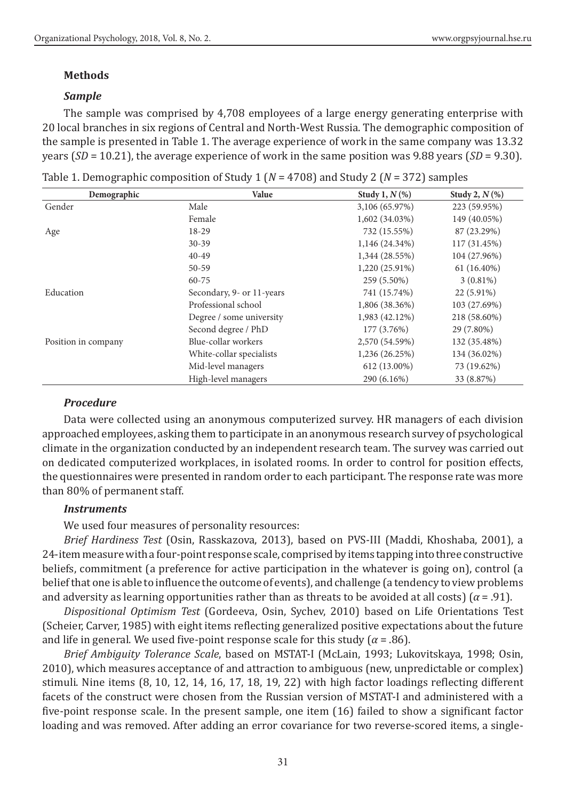#### **Methods**

#### *Sample*

The sample was comprised by 4,708 employees of a large energy generating enterprise with 20 local branches in six regions of Central and North-West Russia. The demographic composition of the sample is presented in Table 1. The average experience of work in the same company was 13.32 years (*SD* = 10.21), the average experience of work in the same position was 9.88 years (*SD* = 9.30).

| Demographic         | Value                     | Study 1, $N$ (%) | Study 2, $N$ (%) |
|---------------------|---------------------------|------------------|------------------|
| Gender              | Male                      | 3,106 (65.97%)   | 223 (59.95%)     |
|                     | Female                    | 1,602 (34.03%)   | 149 (40.05%)     |
| Age                 | 18-29                     | 732 (15.55%)     | 87 (23.29%)      |
|                     | $30 - 39$                 | $1,146(24.34\%)$ | 117 (31.45%)     |
|                     | $40 - 49$                 | 1,344 (28.55%)   | 104 (27.96%)     |
|                     | $50 - 59$                 | 1,220 (25.91%)   | $61(16.40\%)$    |
|                     | $60 - 75$                 | 259 (5.50%)      | $3(0.81\%)$      |
| Education           | Secondary, 9- or 11-years | 741 (15.74%)     | $22(5.91\%)$     |
|                     | Professional school       | 1,806 (38.36%)   | 103 (27.69%)     |
|                     | Degree / some university  | 1,983 (42.12%)   | 218 (58.60%)     |
|                     | Second degree / PhD       | 177 (3.76%)      | 29 (7.80%)       |
| Position in company | Blue-collar workers       | 2,570 (54.59%)   | 132 (35.48%)     |
|                     | White-collar specialists  | 1,236 (26.25%)   | 134 (36.02%)     |
|                     | Mid-level managers        | 612 (13.00%)     | 73 (19.62%)      |
|                     | High-level managers       | 290 (6.16%)      | 33 (8.87%)       |

Table 1. Demographic composition of Study 1 (*N* = 4708) and Study 2 (*N* = 372) samples

#### *Procedure*

Data were collected using an anonymous computerized survey. HR managers of each division approached employees, asking them to participate in an anonymous research survey of psychological climate in the organization conducted by an independent research team. The survey was carried out on dedicated computerized workplaces, in isolated rooms. In order to control for position effects, the questionnaires were presented in random order to each participant. The response rate was more than 80% of permanent staff.

#### *Instruments*

We used four measures of personality resources:

*Brief Hardiness Test* (Osin, Rasskazova, 2013), based on PVS-III (Maddi, Khoshaba, 2001), a 24-item measure with a four-point response scale, comprised by items tapping into three constructive beliefs, commitment (a preference for active participation in the whatever is going on), control (a belief that one is able to influence the outcome of events), and challenge (a tendency to view problems and adversity as learning opportunities rather than as threats to be avoided at all costs) ( $\alpha$  = .91).

*Dispositional Optimism Test* (Gordeeva, Osin, Sychev, 2010) based on Life Orientations Test (Scheier, Carver, 1985) with eight items reflecting generalized positive expectations about the future and life in general. We used five-point response scale for this study ( $\alpha$  = .86).

*Brief Ambiguity Tolerance Scale*, based on MSTAT-I (McLain, 1993; Lukovitskaya, 1998; Osin, 2010), which measures acceptance of and attraction to ambiguous (new, unpredictable or complex) stimuli. Nine items (8, 10, 12, 14, 16, 17, 18, 19, 22) with high factor loadings reflecting different facets of the construct were chosen from the Russian version of MSTAT-I and administered with a five-point response scale. In the present sample, one item (16) failed to show a significant factor loading and was removed. After adding an error covariance for two reverse-scored items, a single-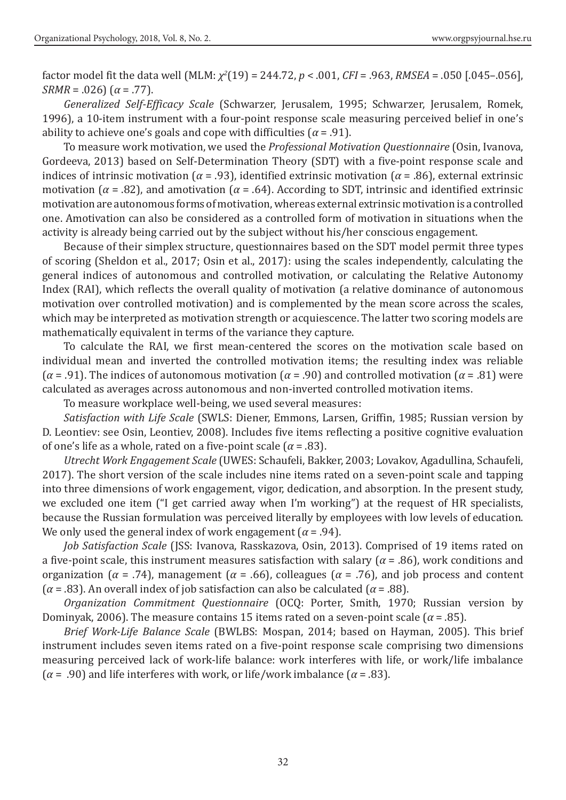factor model fit the data well (MLM: *χ<sup>2</sup>* (19) = 244.72, *p* < .001, *CFI* = .963, *RMSEA* = .050 [.045–.056], *SRMR* = .026)  $(\alpha = .77)$ .

*Generalized Self-Efficacy Scale* (Schwarzer, Jerusalem, 1995; Schwarzer, Jerusalem, Romek, 1996), a 10-item instrument with a four-point response scale measuring perceived belief in one's ability to achieve one's goals and cope with difficulties (*α* = .91).

To measure work motivation, we used the *Professional Motivation Questionnaire* (Osin, Ivanova, Gordeeva, 2013) based on Self-Determination Theory (SDT) with a five-point response scale and indices of intrinsic motivation (*α* = .93), identified extrinsic motivation (*α* = .86), external extrinsic motivation (*α* = .82), and amotivation (*α* = .64). According to SDT, intrinsic and identified extrinsic motivation are autonomous forms of motivation, whereas external extrinsic motivation is a controlled one. Amotivation can also be considered as a controlled form of motivation in situations when the activity is already being carried out by the subject without his/her conscious engagement.

Because of their simplex structure, questionnaires based on the SDT model permit three types of scoring (Sheldon et al., 2017; Osin et al., 2017): using the scales independently, calculating the general indices of autonomous and controlled motivation, or calculating the Relative Autonomy Index (RAI), which reflects the overall quality of motivation (a relative dominance of autonomous motivation over controlled motivation) and is complemented by the mean score across the scales, which may be interpreted as motivation strength or acquiescence. The latter two scoring models are mathematically equivalent in terms of the variance they capture.

To calculate the RAI, we first mean-centered the scores on the motivation scale based on individual mean and inverted the controlled motivation items; the resulting index was reliable (*α* = .91). The indices of autonomous motivation (*α* = .90) and controlled motivation (*α* = .81) were calculated as averages across autonomous and non-inverted controlled motivation items.

To measure workplace well-being, we used several measures:

*Satisfaction with Life Scale* (SWLS: Diener, Emmons, Larsen, Griffin, 1985; Russian version by D. Leontiev: see Osin, Leontiev, 2008). Includes five items reflecting a positive cognitive evaluation of one's life as a whole, rated on a five-point scale (*α* = .83).

*Utrecht Work Engagement Scale* (UWES: Schaufeli, Bakker, 2003; Lovakov, Agadullina, Schaufeli, 2017). The short version of the scale includes nine items rated on a seven-point scale and tapping into three dimensions of work engagement, vigor, dedication, and absorption. In the present study, we excluded one item ("I get carried away when I'm working") at the request of HR specialists, because the Russian formulation was perceived literally by employees with low levels of education. We only used the general index of work engagement  $(\alpha = .94)$ .

*Job Satisfaction Scale* (JSS: Ivanova, Rasskazova, Osin, 2013). Comprised of 19 items rated on a five-point scale, this instrument measures satisfaction with salary (*α* = .86), work conditions and organization ( $\alpha$  = .74), management ( $\alpha$  = .66), colleagues ( $\alpha$  = .76), and job process and content ( $\alpha$  = .83). An overall index of job satisfaction can also be calculated ( $\alpha$  = .88).

*Organization Commitment Questionnaire* (OCQ: Porter, Smith, 1970; Russian version by Dominyak, 2006). The measure contains 15 items rated on a seven-point scale ( $\alpha$  = .85).

*Brief Work-Life Balance Scale* (BWLBS: Mospan, 2014; based on Hayman, 2005). This brief instrument includes seven items rated on a five-point response scale comprising two dimensions measuring perceived lack of work-life balance: work interferes with life, or work/life imbalance (*α* = .90) and life interferes with work, or life/work imbalance (*α* = .83).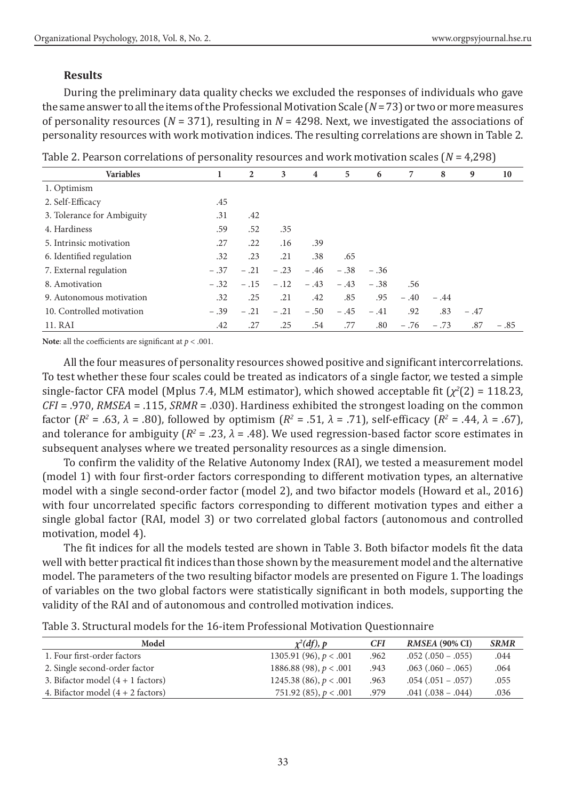## **Results**

During the preliminary data quality checks we excluded the responses of individuals who gave the same answer to all the items of the Professional Motivation Scale (*N* = 73) or two or more measures of personality resources (*N* = 371), resulting in *N* = 4298. Next, we investigated the associations of personality resources with work motivation indices. The resulting correlations are shown in Table 2.

| Table 2. Pearson correlations of personality resources and work motivation scales ( $N = 4,298$ ) |  |
|---------------------------------------------------------------------------------------------------|--|
|---------------------------------------------------------------------------------------------------|--|

| <b>Variables</b>           | 1      | $\overline{2}$ | 3      | $\overline{4}$ | 5      | 6      | 7      | 8      | 9      | 10     |
|----------------------------|--------|----------------|--------|----------------|--------|--------|--------|--------|--------|--------|
| 1. Optimism                |        |                |        |                |        |        |        |        |        |        |
| 2. Self-Efficacy           | .45    |                |        |                |        |        |        |        |        |        |
| 3. Tolerance for Ambiguity | .31    | .42            |        |                |        |        |        |        |        |        |
| 4. Hardiness               | .59    | .52            | .35    |                |        |        |        |        |        |        |
| 5. Intrinsic motivation    | .27    | .22            | .16    | .39            |        |        |        |        |        |        |
| 6. Identified regulation   | .32    | .23            | .21    | .38            | .65    |        |        |        |        |        |
| 7. External regulation     | $-.37$ | $-.21$         | $-.23$ | $-.46$         | $-.38$ | $-.36$ |        |        |        |        |
| 8. Amotivation             | $-.32$ | $-.15$         | $-.12$ | $-.43$         | $-.43$ | $-.38$ | .56    |        |        |        |
| 9. Autonomous motivation   | .32    | .25            | .21    | .42            | .85    | .95    | $-.40$ | $-.44$ |        |        |
| 10. Controlled motivation  | $-.39$ | $-.21$         | $-.21$ | $-.50$         | $-.45$ | $-.41$ | .92    | .83    | $-.47$ |        |
| 11. RAI                    | .42    | .27            | .25    | .54            | .77    | .80    | $-.76$ | $-.73$ | .87    | $-.85$ |

**Note**: all the coefficients are significant at *p* < .001.

All the four measures of personality resources showed positive and significant intercorrelations. To test whether these four scales could be treated as indicators of a single factor, we tested a simple single-factor CFA model (Mplus 7.4, MLM estimator), which showed acceptable fit  $(\chi^2(2) = 118.23,$ *CFI* = .970, *RMSEA* = .115, *SRMR* = .030). Hardiness exhibited the strongest loading on the common factor ( $R^2$  = .63,  $\lambda$  = .80), followed by optimism ( $R^2$  = .51,  $\lambda$  = .71), self-efficacy ( $R^2$  = .44,  $\lambda$  = .67), and tolerance for ambiguity ( $R^2$  = .23,  $\lambda$  = .48). We used regression-based factor score estimates in subsequent analyses where we treated personality resources as a single dimension.

To confirm the validity of the Relative Autonomy Index (RAI), we tested a measurement model (model 1) with four first-order factors corresponding to different motivation types, an alternative model with a single second-order factor (model 2), and two bifactor models (Howard et al., 2016) with four uncorrelated specific factors corresponding to different motivation types and either a single global factor (RAI, model 3) or two correlated global factors (autonomous and controlled motivation, model 4).

The fit indices for all the models tested are shown in Table 3. Both bifactor models fit the data well with better practical fit indices than those shown by the measurement model and the alternative model. The parameters of the two resulting bifactor models are presented on Figure 1. The loadings of variables on the two global factors were statistically significant in both models, supporting the validity of the RAI and of autonomous and controlled motivation indices.

| Model                               | $\chi^2(df)$ , p         | <b>CFI</b> | RMSEA (90% CI)    | <b>SRMR</b> |
|-------------------------------------|--------------------------|------------|-------------------|-------------|
| 1. Four first-order factors         | 1305.91 (96), $p < .001$ | .962       | $.052(.050-.055)$ | .044        |
| 2. Single second-order factor       | 1886.88 (98), $p < .001$ | .943       | $.063(.060-.065)$ | .064        |
| 3. Bifactor model $(4 + 1$ factors) | 1245.38 (86), $p < .001$ | .963       | $.054(.051-.057)$ | .055        |
| 4. Bifactor model $(4 + 2$ factors) | 751.92 (85), $p < .001$  | .979       | $.041(.038-.044)$ | .036        |

Table 3. Structural models for the 16-item Professional Motivation Questionnaire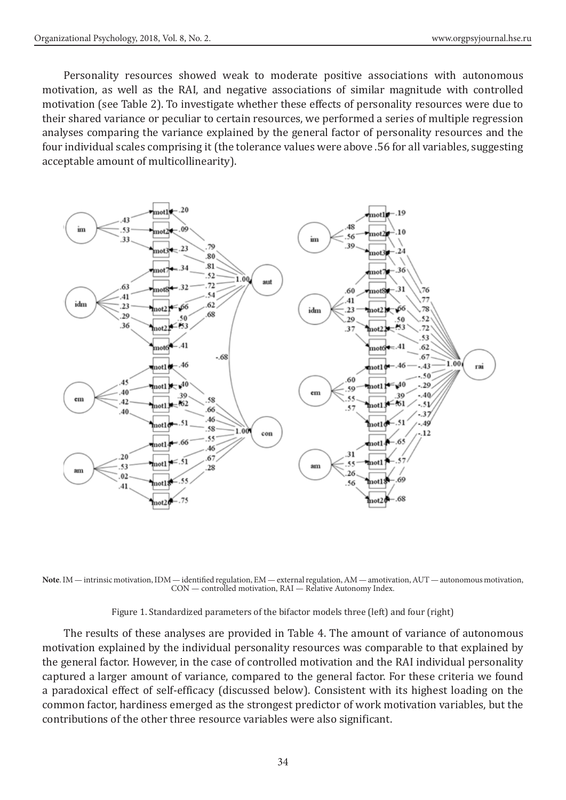Personality resources showed weak to moderate positive associations with autonomous motivation, as well as the RAI, and negative associations of similar magnitude with controlled motivation (see Table 2). To investigate whether these effects of personality resources were due to their shared variance or peculiar to certain resources, we performed a series of multiple regression analyses comparing the variance explained by the general factor of personality resources and the four individual scales comprising it (the tolerance values were above .56 for all variables, suggesting acceptable amount of multicollinearity).



**Note**. IM — intrinsic motivation, IDM — identified regulation, EM — external regulation, AM — amotivation, AUT — autonomous motivation, CON — controlled motivation, RAI — Relative Autonomy Index.

Figure 1. Standardized parameters of the bifactor models three (left) and four (right)

The results of these analyses are provided in Table 4. The amount of variance of autonomous motivation explained by the individual personality resources was comparable to that explained by the general factor. However, in the case of controlled motivation and the RAI individual personality captured a larger amount of variance, compared to the general factor. For these criteria we found a paradoxical effect of self-efficacy (discussed below). Consistent with its highest loading on the common factor, hardiness emerged as the strongest predictor of work motivation variables, but the contributions of the other three resource variables were also significant.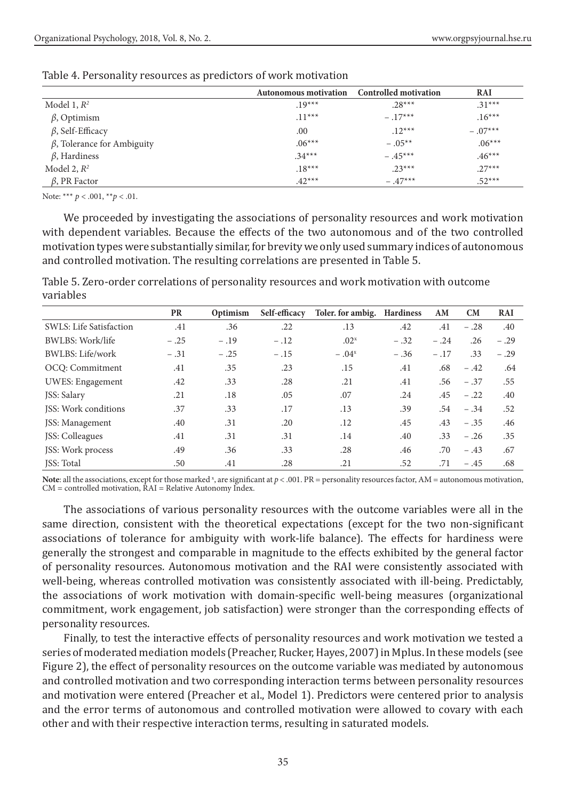|                                   | Autonomous motivation Controlled motivation |           | RAI       |
|-----------------------------------|---------------------------------------------|-----------|-----------|
| Model 1, $R^2$                    | $.19***$                                    | $.28***$  | $.31***$  |
| $\beta$ , Optimism                | $.11***$                                    | $-.17***$ | $.16***$  |
| $\beta$ , Self-Efficacy           | .00                                         | $.12***$  | $-.07***$ |
| $\beta$ , Tolerance for Ambiguity | $.06***$                                    | $-.05**$  | $.06***$  |
| $\beta$ , Hardiness               | $.34***$                                    | $-.45***$ | $.46***$  |
| Model 2, $R^2$                    | $.18***$                                    | $.23***$  | $.27***$  |
| $\beta$ , PR Factor               | $.42***$                                    | $-.47***$ | $.52***$  |

Table 4. Personality resources as predictors of work motivation

Note: \*\*\* *p* < .001, \*\**p* < .01.

We proceeded by investigating the associations of personality resources and work motivation with dependent variables. Because the effects of the two autonomous and of the two controlled motivation types were substantially similar, for brevity we only used summary indices of autonomous and controlled motivation. The resulting correlations are presented in Table 5.

Table 5. Zero-order correlations of personality resources and work motivation with outcome variables

|                         | <b>PR</b> | Optimism | Self-efficacy | Toler. for ambig. Hardiness |        | AM     | CM     | <b>RAI</b> |
|-------------------------|-----------|----------|---------------|-----------------------------|--------|--------|--------|------------|
| SWLS: Life Satisfaction | .41       | .36      | .22           | .13                         | .42    | .41    | $-.28$ | .40        |
| <b>BWLBS: Work/life</b> | $-.25$    | $-.19$   | $-.12$        | .02 <sup>x</sup>            | $-.32$ | $-.24$ | .26    | $-.29$     |
| <b>BWLBS: Life/work</b> | $-.31$    | $-.25$   | $-.15$        | $-.04^{x}$                  | $-.36$ | $-.17$ | .33    | $-.29$     |
| OCQ: Commitment         | .41       | .35      | .23           | .15                         | .41    | .68    | $-.42$ | .64        |
| <b>UWES: Engagement</b> | .42       | .33      | .28           | .21                         | .41    | .56    | $-.37$ | .55        |
| JSS: Salary             | .21       | .18      | .05           | .07                         | .24    | .45    | $-.22$ | .40        |
| JSS: Work conditions    | .37       | .33      | .17           | .13                         | .39    | .54    | $-.34$ | .52        |
| JSS: Management         | .40       | .31      | .20           | .12                         | .45    | .43    | $-.35$ | .46        |
| JSS: Colleagues         | .41       | .31      | .31           | .14                         | .40    | .33    | $-.26$ | .35        |
| JSS: Work process       | .49       | .36      | .33           | .28                         | .46    | .70    | $-.43$ | .67        |
| <b>ISS: Total</b>       | .50       | .41      | .28           | .21                         | .52    | .71    | $-.45$ | .68        |

Note: all the associations, except for those marked <sup>x</sup>, are significant at  $p < .001$ . PR = personality resources factor, AM = autonomous motivation,  $CM = controlled motivation, RAI = Relative Autonomy Index.$ 

The associations of various personality resources with the outcome variables were all in the same direction, consistent with the theoretical expectations (except for the two non-significant associations of tolerance for ambiguity with work-life balance). The effects for hardiness were generally the strongest and comparable in magnitude to the effects exhibited by the general factor of personality resources. Autonomous motivation and the RAI were consistently associated with well-being, whereas controlled motivation was consistently associated with ill-being. Predictably, the associations of work motivation with domain-specific well-being measures (organizational commitment, work engagement, job satisfaction) were stronger than the corresponding effects of personality resources.

Finally, to test the interactive effects of personality resources and work motivation we tested a series of moderated mediation models (Preacher, Rucker, Hayes, 2007) in Mplus. In these models (see Figure 2), the effect of personality resources on the outcome variable was mediated by autonomous and controlled motivation and two corresponding interaction terms between personality resources and motivation were entered (Preacher et al., Model 1). Predictors were centered prior to analysis and the error terms of autonomous and controlled motivation were allowed to covary with each other and with their respective interaction terms, resulting in saturated models.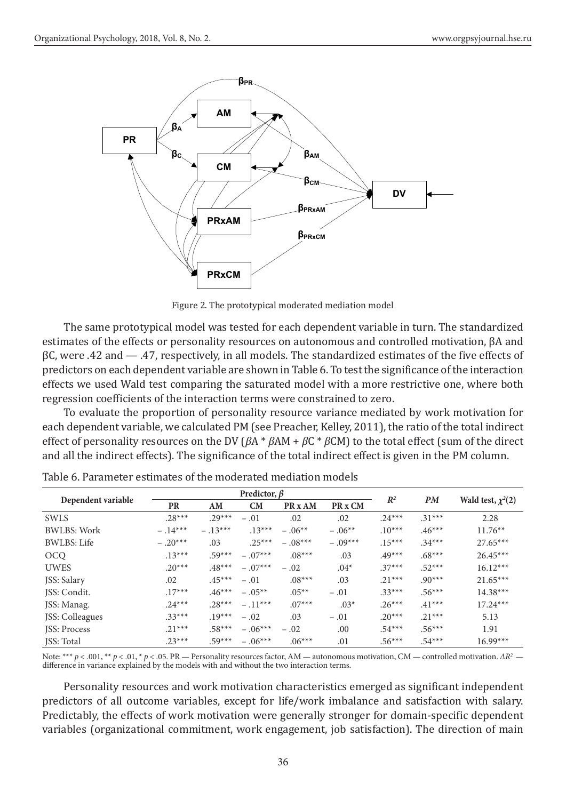

Figure 2. The prototypical moderated mediation model

The same prototypical model was tested for each dependent variable in turn. The standardized estimates of the effects or personality resources on autonomous and controlled motivation, βA and βC, were .42 and — .47, respectively, in all models. The standardized estimates of the five effects of predictors on each dependent variable are shown in Table 6. To test the significance of the interaction effects we used Wald test comparing the saturated model with a more restrictive one, where both regression coefficients of the interaction terms were constrained to zero.

To evaluate the proportion of personality resource variance mediated by work motivation for each dependent variable, we calculated PM (see Preacher, Kelley, 2011), the ratio of the total indirect effect of personality resources on the DV (*β*A \* *β*AM + *β*C \* *β*CM) to the total effect (sum of the direct and all the indirect effects). The significance of the total indirect effect is given in the PM column.

|                     |           | Predictor, $\beta$ | $\mathbb{R}^2$ | PM        |           |          |          |                        |
|---------------------|-----------|--------------------|----------------|-----------|-----------|----------|----------|------------------------|
| Dependent variable  | <b>PR</b> | AM                 | CM             | PR x AM   | PR x CM   |          |          | Wald test, $\chi^2(2)$ |
| <b>SWLS</b>         | $.28***$  | $.29***$           | $-.01$         | .02       | .02       | $.24***$ | $.31***$ | 2.28                   |
| <b>BWLBS: Work</b>  | $-.14***$ | $-.13***$          | $.13***$       | $-.06**$  | $-.06**$  | $.10***$ | $.46***$ | $11.76**$              |
| <b>BWLBS: Life</b>  | $-.20***$ | .03                | $.25***$       | $-.08***$ | $-.09***$ | $.15***$ | $.34***$ | $27.65***$             |
| <b>OCQ</b>          | $.13***$  | $.59***$           | $-.07***$      | $.08***$  | .03       | $.49***$ | $.68***$ | $26.45***$             |
| <b>UWES</b>         | $.20***$  | $.48***$           | $-.07***$      | $-.02$    | $.04*$    | $.37***$ | $.52***$ | $16.12***$             |
| JSS: Salary         | .02       | $.45***$           | $-.01$         | $.08***$  | .03       | $.21***$ | $.90***$ | $21.65***$             |
| ISS: Condit.        | $.17***$  | $.46***$           | $-.05**$       | $.05***$  | $-.01$    | $.33***$ | $.56***$ | $14.38***$             |
| JSS: Manag.         | $.24***$  | $.28***$           | $-.11***$      | $.07***$  | $.03*$    | $.26***$ | $.41***$ | $17.24***$             |
| JSS: Colleagues     | $.33***$  | $.19***$           | $-.02$         | .03       | $-.01$    | $.20***$ | $.21***$ | 5.13                   |
| <b>ISS: Process</b> | $.21***$  | $.58***$           | $-.06***$      | $-.02$    | .00       | $.54***$ | $.56***$ | 1.91                   |
| <b>ISS: Total</b>   | $.23***$  | $.59***$           | $-.06***$      | $.06***$  | .01       | $.56***$ | $.54***$ | $16.99***$             |

Table 6. Parameter estimates of the moderated mediation models

Note: \*\*\*  $p < .001$ , \*\*  $p < .01$ , \*  $p < .05$ . PR — Personality resources factor, AM — autonomous motivation, CM — controlled motivation.  $\Delta R^2$  — difference in variance explained by the models with and without the two inter

Personality resources and work motivation characteristics emerged as significant independent predictors of all outcome variables, except for life/work imbalance and satisfaction with salary. Predictably, the effects of work motivation were generally stronger for domain-specific dependent variables (organizational commitment, work engagement, job satisfaction). The direction of main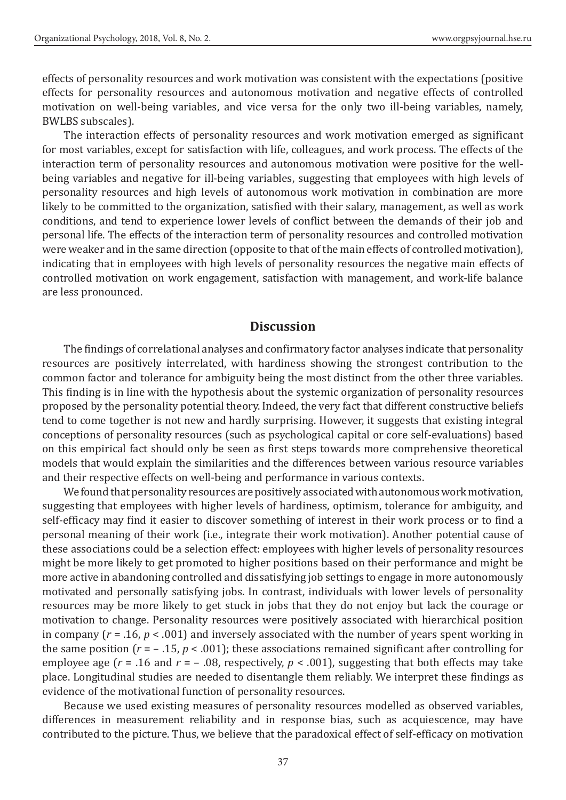effects of personality resources and work motivation was consistent with the expectations (positive effects for personality resources and autonomous motivation and negative effects of controlled motivation on well-being variables, and vice versa for the only two ill-being variables, namely, BWLBS subscales).

The interaction effects of personality resources and work motivation emerged as significant for most variables, except for satisfaction with life, colleagues, and work process. The effects of the interaction term of personality resources and autonomous motivation were positive for the wellbeing variables and negative for ill-being variables, suggesting that employees with high levels of personality resources and high levels of autonomous work motivation in combination are more likely to be committed to the organization, satisfied with their salary, management, as well as work conditions, and tend to experience lower levels of conflict between the demands of their job and personal life. The effects of the interaction term of personality resources and controlled motivation were weaker and in the same direction (opposite to that of the main effects of controlled motivation), indicating that in employees with high levels of personality resources the negative main effects of controlled motivation on work engagement, satisfaction with management, and work-life balance are less pronounced.

#### **Discussion**

The findings of correlational analyses and confirmatory factor analyses indicate that personality resources are positively interrelated, with hardiness showing the strongest contribution to the common factor and tolerance for ambiguity being the most distinct from the other three variables. This finding is in line with the hypothesis about the systemic organization of personality resources proposed by the personality potential theory. Indeed, the very fact that different constructive beliefs tend to come together is not new and hardly surprising. However, it suggests that existing integral conceptions of personality resources (such as psychological capital or core self-evaluations) based on this empirical fact should only be seen as first steps towards more comprehensive theoretical models that would explain the similarities and the differences between various resource variables and their respective effects on well-being and performance in various contexts.

We found that personality resources are positively associated with autonomous work motivation, suggesting that employees with higher levels of hardiness, optimism, tolerance for ambiguity, and self-efficacy may find it easier to discover something of interest in their work process or to find a personal meaning of their work (i.e., integrate their work motivation). Another potential cause of these associations could be a selection effect: employees with higher levels of personality resources might be more likely to get promoted to higher positions based on their performance and might be more active in abandoning controlled and dissatisfying job settings to engage in more autonomously motivated and personally satisfying jobs. In contrast, individuals with lower levels of personality resources may be more likely to get stuck in jobs that they do not enjoy but lack the courage or motivation to change. Personality resources were positively associated with hierarchical position in company (*r* = .16, *p* < .001) and inversely associated with the number of years spent working in the same position  $(r = -0.15, p < 0.001)$ ; these associations remained significant after controlling for employee age ( $r = .16$  and  $r = -.08$ , respectively,  $p < .001$ ), suggesting that both effects may take place. Longitudinal studies are needed to disentangle them reliably. We interpret these findings as evidence of the motivational function of personality resources.

Because we used existing measures of personality resources modelled as observed variables, differences in measurement reliability and in response bias, such as acquiescence, may have contributed to the picture. Thus, we believe that the paradoxical effect of self-efficacy on motivation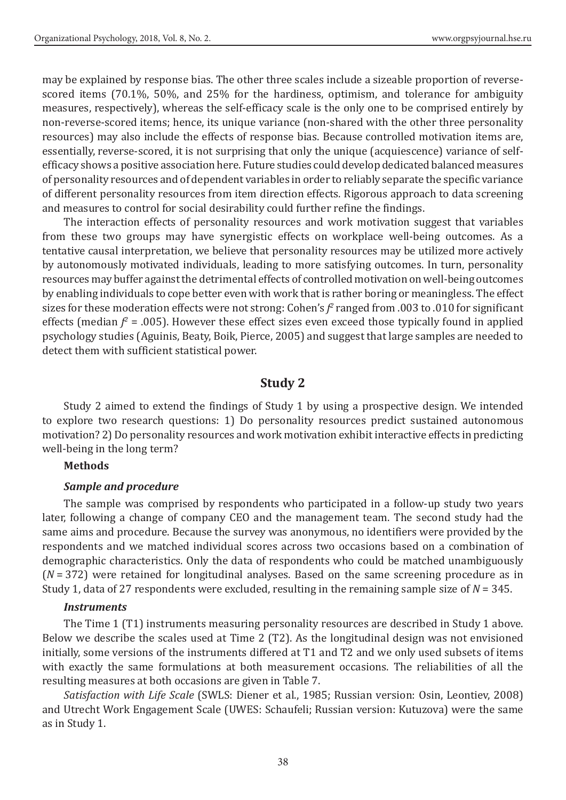may be explained by response bias. The other three scales include a sizeable proportion of reversescored items (70.1%, 50%, and 25% for the hardiness, optimism, and tolerance for ambiguity measures, respectively), whereas the self-efficacy scale is the only one to be comprised entirely by non-reverse-scored items; hence, its unique variance (non-shared with the other three personality resources) may also include the effects of response bias. Because controlled motivation items are, essentially, reverse-scored, it is not surprising that only the unique (acquiescence) variance of selfefficacy shows a positive association here. Future studies could develop dedicated balanced measures of personality resources and of dependent variables in order to reliably separate the specific variance of different personality resources from item direction effects. Rigorous approach to data screening and measures to control for social desirability could further refine the findings.

The interaction effects of personality resources and work motivation suggest that variables from these two groups may have synergistic effects on workplace well-being outcomes. As a tentative causal interpretation, we believe that personality resources may be utilized more actively by autonomously motivated individuals, leading to more satisfying outcomes. In turn, personality resources may buffer against the detrimental effects of controlled motivation on well-being outcomes by enabling individuals to cope better even with work that is rather boring or meaningless. The effect sizes for these moderation effects were not strong: Cohen's  $f^2$  ranged from .003 to .010 for significant effects (median  $f^2$  = .005). However these effect sizes even exceed those typically found in applied psychology studies (Aguinis, Beaty, Boik, Pierce, 2005) and suggest that large samples are needed to detect them with sufficient statistical power.

### **Study 2**

Study 2 aimed to extend the findings of Study 1 by using a prospective design. We intended to explore two research questions: 1) Do personality resources predict sustained autonomous motivation? 2) Do personality resources and work motivation exhibit interactive effects in predicting well-being in the long term?

#### **Methods**

#### *Sample and procedure*

The sample was comprised by respondents who participated in a follow-up study two years later, following a change of company CEO and the management team. The second study had the same aims and procedure. Because the survey was anonymous, no identifiers were provided by the respondents and we matched individual scores across two occasions based on a combination of demographic characteristics. Only the data of respondents who could be matched unambiguously (*N* = 372) were retained for longitudinal analyses. Based on the same screening procedure as in Study 1, data of 27 respondents were excluded, resulting in the remaining sample size of *N* = 345.

#### *Instruments*

The Time 1 (T1) instruments measuring personality resources are described in Study 1 above. Below we describe the scales used at Time 2 (T2). As the longitudinal design was not envisioned initially, some versions of the instruments differed at T1 and T2 and we only used subsets of items with exactly the same formulations at both measurement occasions. The reliabilities of all the resulting measures at both occasions are given in Table 7.

*Satisfaction with Life Scale* (SWLS: Diener et al., 1985; Russian version: Osin, Leontiev, 2008) and Utrecht Work Engagement Scale (UWES: Schaufeli; Russian version: Kutuzova) were the same as in Study 1.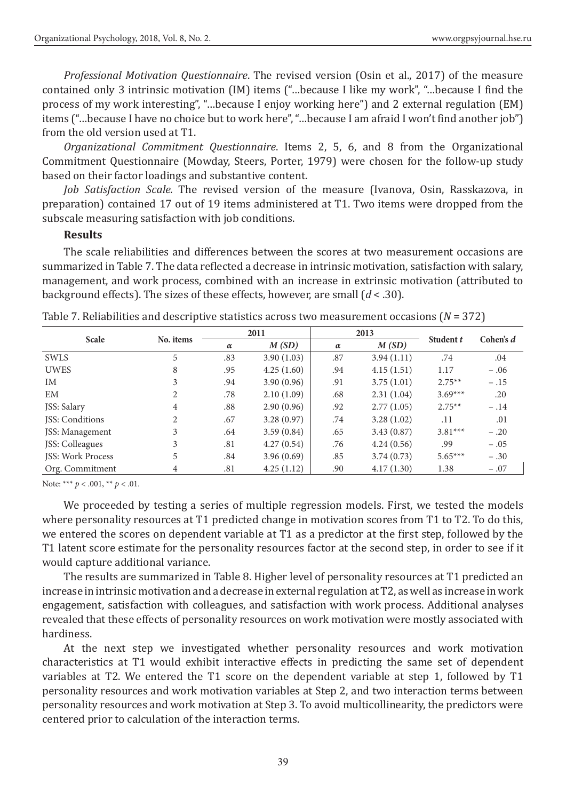*Professional Motivation Questionnaire*. The revised version (Osin et al., 2017) of the measure contained only 3 intrinsic motivation (IM) items ("…because I like my work", "…because I find the process of my work interesting", "…because I enjoy working here") and 2 external regulation (EM) items ("…because I have no choice but to work here", "…because I am afraid I won't find another job") from the old version used at T1.

*Organizational Commitment Questionnaire*. Items 2, 5, 6, and 8 from the Organizational Commitment Questionnaire (Mowday, Steers, Porter, 1979) were chosen for the follow-up study based on their factor loadings and substantive content.

*Job Satisfaction Scale.* The revised version of the measure (Ivanova, Osin, Rasskazova, in preparation) contained 17 out of 19 items administered at T1. Two items were dropped from the subscale measuring satisfaction with job conditions.

#### **Results**

The scale reliabilities and differences between the scores at two measurement occasions are summarized in Table 7. The data reflected a decrease in intrinsic motivation, satisfaction with salary, management, and work process, combined with an increase in extrinsic motivation (attributed to background effects). The sizes of these effects, however, are small (*d* < .30).

| <b>Scale</b>             |                | 2011     |            |          | 2013       | Student t | Cohen's d |
|--------------------------|----------------|----------|------------|----------|------------|-----------|-----------|
|                          | No. items      | $\alpha$ | M(SD)      | $\alpha$ | M(SD)      |           |           |
| <b>SWLS</b>              | 5              | .83      | 3.90(1.03) | .87      | 3.94(1.11) | .74       | .04       |
| <b>UWES</b>              | 8              | .95      | 4.25(1.60) | .94      | 4.15(1.51) | 1.17      | $-.06$    |
| IM                       | 3              | .94      | 3.90(0.96) | .91      | 3.75(1.01) | $2.75**$  | $-.15$    |
| EM                       | 2              | .78      | 2.10(1.09) | .68      | 2.31(1.04) | $3.69***$ | .20       |
| JSS: Salary              | $\overline{4}$ | .88      | 2.90(0.96) | .92      | 2.77(1.05) | $2.75**$  | $-.14$    |
| <b>JSS: Conditions</b>   | 2              | .67      | 3.28(0.97) | .74      | 3.28(1.02) | .11       | .01       |
| JSS: Management          | 3              | .64      | 3.59(0.84) | .65      | 3.43(0.87) | $3.81***$ | $-.20$    |
| JSS: Colleagues          | 3              | .81      | 4.27(0.54) | .76      | 4.24(0.56) | .99       | $-.05$    |
| <b>JSS: Work Process</b> | 5              | .84      | 3.96(0.69) | .85      | 3.74(0.73) | $5.65***$ | $-.30$    |
| Org. Commitment          | 4              | .81      | 4.25(1.12) | .90      | 4.17(1.30) | 1.38      | $-.07$    |

| Table 7. Reliabilities and descriptive statistics across two measurement occasions ( $N = 372$ ) |  |
|--------------------------------------------------------------------------------------------------|--|
|--------------------------------------------------------------------------------------------------|--|

Note: \*\*\* *p* < .001, \*\* *p* < .01.

We proceeded by testing a series of multiple regression models. First, we tested the models where personality resources at T1 predicted change in motivation scores from T1 to T2. To do this, we entered the scores on dependent variable at T1 as a predictor at the first step, followed by the T1 latent score estimate for the personality resources factor at the second step, in order to see if it would capture additional variance.

The results are summarized in Table 8. Higher level of personality resources at T1 predicted an increase in intrinsic motivation and a decrease in external regulation at T2, as well as increase in work engagement, satisfaction with colleagues, and satisfaction with work process. Additional analyses revealed that these effects of personality resources on work motivation were mostly associated with hardiness.

At the next step we investigated whether personality resources and work motivation characteristics at T1 would exhibit interactive effects in predicting the same set of dependent variables at T2. We entered the T1 score on the dependent variable at step 1, followed by T1 personality resources and work motivation variables at Step 2, and two interaction terms between personality resources and work motivation at Step 3. To avoid multicollinearity, the predictors were centered prior to calculation of the interaction terms.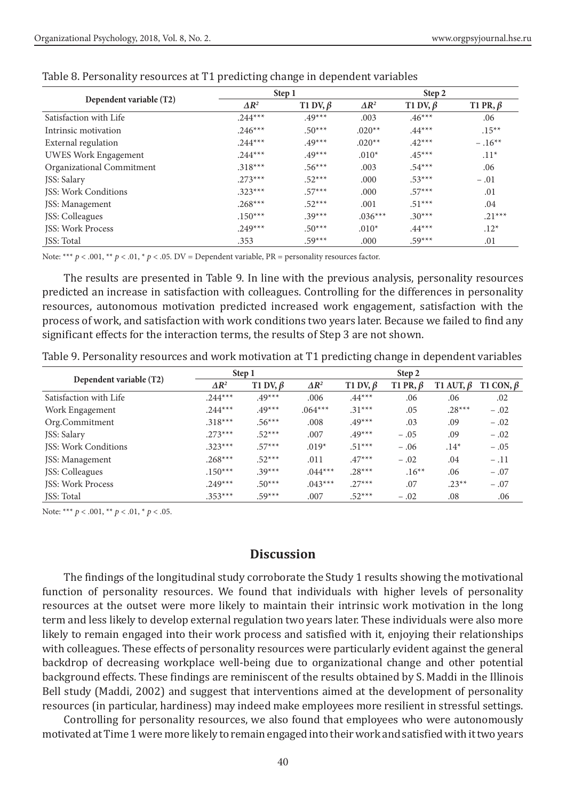|                             |              | Step 1         | Step 2       |                |                |  |
|-----------------------------|--------------|----------------|--------------|----------------|----------------|--|
| Dependent variable (T2)     | $\Delta R^2$ | T1 DV, $\beta$ | $\Delta R^2$ | T1 DV, $\beta$ | T1 PR, $\beta$ |  |
| Satisfaction with Life      | $.244***$    | $.49***$       | .003         | $.46***$       | .06            |  |
| Intrinsic motivation        | $.246***$    | $.50***$       | $.020**$     | $.44***$       | $.15***$       |  |
| External regulation         | $.244***$    | $.49***$       | $.020**$     | $.42***$       | $-.16**$       |  |
| <b>UWES Work Engagement</b> | $.244***$    | $.49***$       | $.010*$      | $.45***$       | $.11*$         |  |
| Organizational Commitment   | $.318***$    | $.56***$       | .003         | $.54***$       | .06            |  |
| JSS: Salary                 | $.273***$    | $.52***$       | .000         | $.53***$       | $-.01$         |  |
| JSS: Work Conditions        | $.323***$    | $.57***$       | .000         | $.57***$       | .01            |  |
| JSS: Management             | $.268***$    | $.52***$       | .001         | $.51***$       | .04            |  |
| JSS: Colleagues             | $.150***$    | $.39***$       | $.036***$    | $.30***$       | $.21***$       |  |
| <b>JSS: Work Process</b>    | $.249***$    | $.50***$       | $.010*$      | $.44***$       | $.12*$         |  |
| JSS: Total                  | .353         | $.59***$       | .000         | $.59***$       | .01            |  |

#### Table 8. Personality resources at T1 predicting change in dependent variables

Note: \*\*\*  $p < .001$ , \*\*  $p < .01$ , \*  $p < .05$ . DV = Dependent variable, PR = personality resources factor.

The results are presented in Table 9. In line with the previous analysis, personality resources predicted an increase in satisfaction with colleagues. Controlling for the differences in personality resources, autonomous motivation predicted increased work engagement, satisfaction with the process of work, and satisfaction with work conditions two years later. Because we failed to find any significant effects for the interaction terms, the results of Step 3 are not shown.

| Table 9. Personality resources and work motivation at T1 predicting change in dependent variables |  |  |  |
|---------------------------------------------------------------------------------------------------|--|--|--|
|---------------------------------------------------------------------------------------------------|--|--|--|

|                          |              | Step 1         | Step 2       |                |                |                 |                 |  |
|--------------------------|--------------|----------------|--------------|----------------|----------------|-----------------|-----------------|--|
| Dependent variable (T2)  | $\Delta R^2$ | T1 DV, $\beta$ | $\Delta R^2$ | T1 DV, $\beta$ | T1 PR, $\beta$ | T1 AUT, $\beta$ | T1 CON, $\beta$ |  |
| Satisfaction with Life   | $.244***$    | $.49***$       | .006         | $.44***$       | .06            | .06             | .02             |  |
| Work Engagement          | $.244***$    | $.49***$       | $.064***$    | $.31***$       | .05            | $.28***$        | $-.02$          |  |
| Org.Commitment           | $.318***$    | $.56***$       | .008         | $.49***$       | .03            | .09             | $-.02$          |  |
| JSS: Salary              | $.273***$    | $.52***$       | .007         | $.49***$       | $-.05$         | .09             | $-.02$          |  |
| JSS: Work Conditions     | $.323***$    | $.57***$       | $.019*$      | $.51***$       | $-.06$         | $.14*$          | $-.05$          |  |
| JSS: Management          | $.268***$    | $.52***$       | .011         | $.47***$       | $-.02$         | .04             | $-.11$          |  |
| JSS: Colleagues          | $.150***$    | $.39***$       | $.044***$    | $.28***$       | $.16***$       | .06             | $-.07$          |  |
| <b>JSS: Work Process</b> | $.249***$    | $.50***$       | $.043***$    | $.27***$       | .07            | $.23**$         | $-.07$          |  |
| JSS: Total               | $.353***$    | $.59***$       | .007         | $.52***$       | $-.02$         | .08             | .06             |  |

Note: \*\*\* *p* < .001, \*\* *p* < .01, \* *p* < .05.

#### **Discussion**

The findings of the longitudinal study corroborate the Study 1 results showing the motivational function of personality resources. We found that individuals with higher levels of personality resources at the outset were more likely to maintain their intrinsic work motivation in the long term and less likely to develop external regulation two years later. These individuals were also more likely to remain engaged into their work process and satisfied with it, enjoying their relationships with colleagues. These effects of personality resources were particularly evident against the general backdrop of decreasing workplace well-being due to organizational change and other potential background effects. These findings are reminiscent of the results obtained by S. Maddi in the Illinois Bell study (Maddi, 2002) and suggest that interventions aimed at the development of personality resources (in particular, hardiness) may indeed make employees more resilient in stressful settings.

Controlling for personality resources, we also found that employees who were autonomously motivated at Time 1 were more likely to remain engaged into their work and satisfied with it two years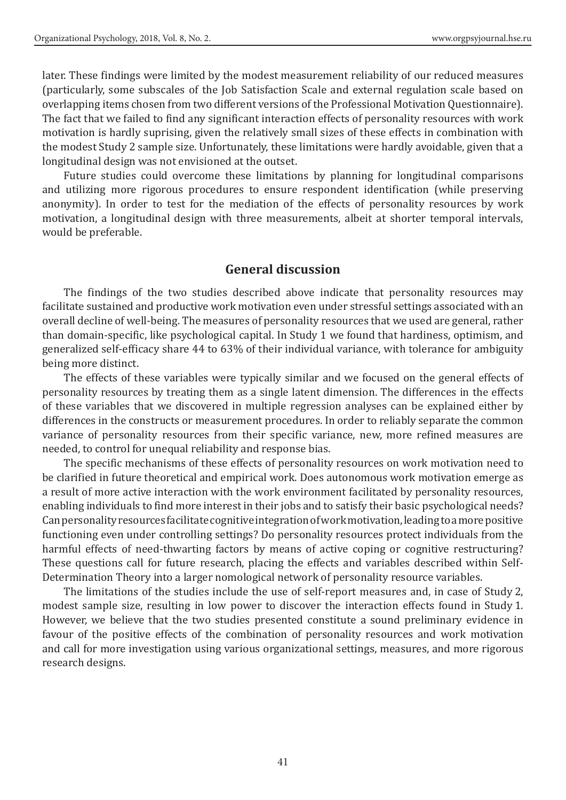later. These findings were limited by the modest measurement reliability of our reduced measures (particularly, some subscales of the Job Satisfaction Scale and external regulation scale based on overlapping items chosen from two different versions of the Professional Motivation Questionnaire). The fact that we failed to find any significant interaction effects of personality resources with work motivation is hardly suprising, given the relatively small sizes of these effects in combination with the modest Study 2 sample size. Unfortunately, these limitations were hardly avoidable, given that a longitudinal design was not envisioned at the outset.

Future studies could overcome these limitations by planning for longitudinal comparisons and utilizing more rigorous procedures to ensure respondent identification (while preserving anonymity). In order to test for the mediation of the effects of personality resources by work motivation, a longitudinal design with three measurements, albeit at shorter temporal intervals, would be preferable.

### **General discussion**

The findings of the two studies described above indicate that personality resources may facilitate sustained and productive work motivation even under stressful settings associated with an overall decline of well-being. The measures of personality resources that we used are general, rather than domain-specific, like psychological capital. In Study 1 we found that hardiness, optimism, and generalized self-efficacy share 44 to 63% of their individual variance, with tolerance for ambiguity being more distinct.

The effects of these variables were typically similar and we focused on the general effects of personality resources by treating them as a single latent dimension. The differences in the effects of these variables that we discovered in multiple regression analyses can be explained either by differences in the constructs or measurement procedures. In order to reliably separate the common variance of personality resources from their specific variance, new, more refined measures are needed, to control for unequal reliability and response bias.

The specific mechanisms of these effects of personality resources on work motivation need to be clarified in future theoretical and empirical work. Does autonomous work motivation emerge as a result of more active interaction with the work environment facilitated by personality resources, enabling individuals to find more interest in their jobs and to satisfy their basic psychological needs? Can personality resources facilitate cognitive integration of work motivation, leading to a more positive functioning even under controlling settings? Do personality resources protect individuals from the harmful effects of need-thwarting factors by means of active coping or cognitive restructuring? These questions call for future research, placing the effects and variables described within Self-Determination Theory into a larger nomological network of personality resource variables.

The limitations of the studies include the use of self-report measures and, in case of Study 2, modest sample size, resulting in low power to discover the interaction effects found in Study 1. However, we believe that the two studies presented constitute a sound preliminary evidence in favour of the positive effects of the combination of personality resources and work motivation and call for more investigation using various organizational settings, measures, and more rigorous research designs.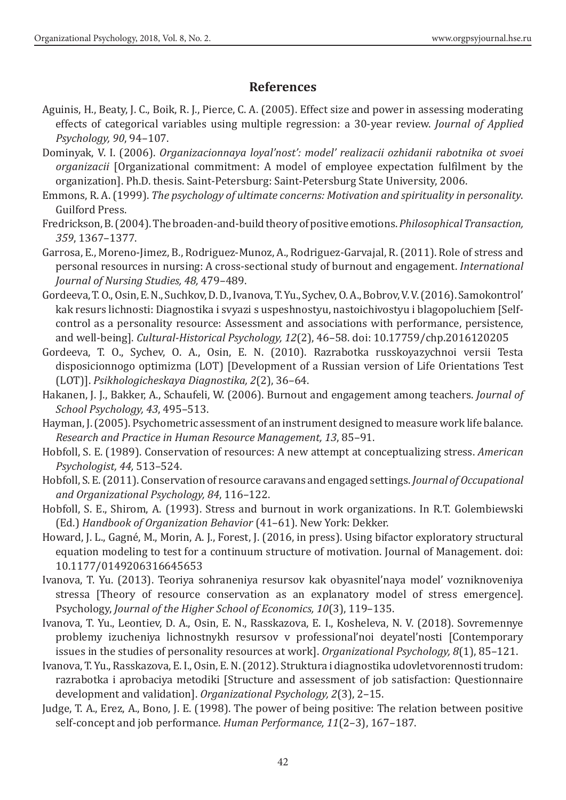## **References**

- Aguinis, H., Beaty, J. C., Boik, R. J., Pierce, C. A. (2005). Effect size and power in assessing moderating effects of categorical variables using multiple regression: a 30-year review. *Journal of Applied Psychology, 90*, 94–107.
- Dominyak, V. I. (2006). *Organizacionnaya loyal'nost': model' realizacii ozhidanii rabotnika ot svoei organizacii* [Organizational commitment: A model of employee expectation fulfilment by the organization]. Ph.D. thesis. Saint-Petersburg: Saint-Petersburg State University, 2006.
- Emmons, R. A. (1999). *The psychology of ultimate concerns: Motivation and spirituality in personality*. Guilford Press.
- Fredrickson, B. (2004). The broaden-and-build theory of positive emotions. *Philosophical Transaction, 359*, 1367–1377.
- Garrosa, E., Moreno-Jimez, B., Rodriguez-Munoz, A., Rodriguez-Garvajal, R. (2011). Role of stress and personal resources in nursing: A cross-sectional study of burnout and engagement. *International Journal of Nursing Studies, 48,* 479–489.
- Gordeeva, T. O., Osin, E. N., Suchkov, D. D., Ivanova, T. Yu., Sychev, O. A., Bobrov, V. V. (2016). Samokontrol' kak resurs lichnosti: Diagnostika i svyazi s uspeshnostyu, nastoichivostyu i blagopoluchiem [Selfcontrol as a personality resource: Assessment and associations with performance, persistence, and well-being]. *Cultural-Historical Psychology, 12*(2), 46–58. doi: 10.17759/chp.2016120205
- Gordeeva, T. O., Sychev, O. A., Osin, E. N. (2010). Razrabotka russkoyazychnoi versii Testa disposicionnogo optimizma (LOT) [Development of a Russian version of Life Orientations Test (LOT)]. *Psikhologicheskaya Diagnostika, 2*(2), 36–64.
- Hakanen, J. J., Bakker, A., Schaufeli, W. (2006). Burnout and engagement among teachers. *Journal of School Psychology, 43*, 495–513.
- Hayman, J. (2005). Psychometric assessment of an instrument designed to measure work life balance. *Research and Practice in Human Resource Management, 13*, 85–91.
- Hobfoll, S. E. (1989). Conservation of resources: A new attempt at conceptualizing stress. *American Psychologist, 44,* 513–524.
- Hobfoll, S. E. (2011). Conservation of resource caravans and engaged settings. *Journal of Occupational and Organizational Psychology, 84*, 116–122.
- Hobfoll, S. E., Shirom, A. (1993). Stress and burnout in work organizations. In R.T. Golembiewski (Ed.) *Handbook of Organization Behavior* (41–61). New York: Dekker.
- Howard, J. L., Gagné, M., Morin, A. J., Forest, J. (2016, in press). Using bifactor exploratory structural equation modeling to test for a continuum structure of motivation. Journal of Management. doi: 10.1177/0149206316645653
- Ivanova, T. Yu. (2013). Teoriya sohraneniya resursov kak obyasnitel'naya model' vozniknoveniya stressa [Theory of resource conservation as an explanatory model of stress emergence]. Psychology, *Journal of the Higher School of Economics, 10*(3), 119–135.
- Ivanova, T. Yu., Leontiev, D. A., Osin, E. N., Rasskazova, E. I., Kosheleva, N. V. (2018). Sovremennye problemy izucheniya lichnostnykh resursov v professional'noi deyatel'nosti [Contemporary issues in the studies of personality resources at work]. *Organizational Psychology, 8*(1), 85–121.
- Ivanova, T. Yu., Rasskazova, E. I., Osin, E. N. (2012). Struktura i diagnostika udovletvorennosti trudom: razrabotka i aprobaciya metodiki [Structure and assessment of job satisfaction: Questionnaire development and validation]. *Organizational Psychology, 2*(3), 2–15.
- Judge, T. A., Erez, A., Bono, J. E. (1998). The power of being positive: The relation between positive self-concept and job performance. *Human Performance, 11*(2–3), 167–187.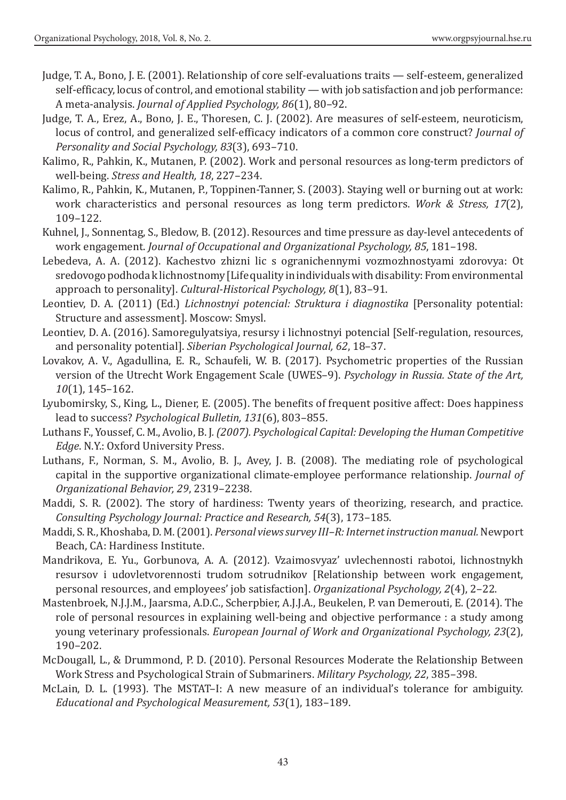- Judge, T. A., Bono, J. E. (2001). Relationship of core self-evaluations traits self-esteem, generalized self-efficacy, locus of control, and emotional stability — with job satisfaction and job performance: A meta-analysis. *Journal of Applied Psychology, 86*(1), 80–92.
- Judge, T. A., Erez, A., Bono, J. E., Thoresen, C. J. (2002). Are measures of self-esteem, neuroticism, locus of control, and generalized self-efficacy indicators of a common core construct? *Journal of Personality and Social Psychology, 83*(3), 693–710.
- Kalimo, R., Pahkin, K., Mutanen, P. (2002). Work and personal resources as long-term predictors of well-being. *Stress and Health, 18*, 227–234.
- Kalimo, R., Pahkin, K., Mutanen, P., Toppinen-Tanner, S. (2003). Staying well or burning out at work: work characteristics and personal resources as long term predictors. *Work & Stress, 17*(2), 109–122.
- Kuhnel, J., Sonnentag, S., Bledow, B. (2012). Resources and time pressure as day-level antecedents of work engagement. *Journal of Occupational and Organizational Psychology, 85*, 181–198.
- Lebedeva, A. A. (2012). Kachestvo zhizni lic s ogranichennymi vozmozhnostyami zdorovya: Ot sredovogo podhoda k lichnostnomy [Life quality in individuals with disability: From environmental approach to personality]. *Cultural-Historical Psychology, 8*(1), 83–91.
- Leontiev, D. A. (2011) (Ed.) *Lichnostnyi potencial: Struktura i diagnostika* [Personality potential: Structure and assessment]. Moscow: Smysl.
- Leontiev, D. A. (2016). Samoregulyatsiya, resursy i lichnostnyi potencial [Self-regulation, resources, and personality potential]. *Siberian Psychological Journal, 62*, 18–37.
- Lovakov, A. V., Agadullina, E. R., Schaufeli, W. B. (2017). Psychometric properties of the Russian version of the Utrecht Work Engagement Scale (UWES–9). *Psychology in Russia. State of the Art, 10*(1), 145–162.
- Lyubomirsky, S., King, L., Diener, E. (2005). The benefits of frequent positive affect: Does happiness lead to success? *Psychological Bulletin, 131*(6), 803–855.
- Luthans F., Youssef, C. M., Avolio, B. J*. (2007). Psychological Capital: Developing the Human Competitive Edge*. N.Y.: Oxford University Press.
- Luthans, F., Norman, S. M., Avolio, B. J., Avey, J. B. (2008). The mediating role of psychological capital in the supportive organizational climate-employee performance relationship. *Journal of Organizational Behavior, 29*, 2319–2238.
- Maddi, S. R. (2002). The story of hardiness: Twenty years of theorizing, research, and practice. *Consulting Psychology Journal: Practice and Research, 54*(3), 173–185.
- Maddi, S. R., Khoshaba, D. M. (2001). *Personal views survey III–R: Internet instruction manual.* Newport Beach, CA: Hardiness Institute.
- Mandrikova, E. Yu., Gorbunova, A. A. (2012). Vzaimosvyaz' uvlechennosti rabotoi, lichnostnykh resursov i udovletvorennosti trudom sotrudnikov [Relationship between work engagement, personal resources, and employees' job satisfaction]. *Organizational Psychology, 2*(4), 2–22.
- Mastenbroek, N.J.J.M., Jaarsma, A.D.C., Scherpbier, A.J.J.A., Beukelen, P. van Demerouti, E. (2014). The role of personal resources in explaining well-being and objective performance : a study among young veterinary professionals. *European Journal of Work and Organizational Psychology, 23*(2), 190–202.
- McDougall, L., & Drummond, P. D. (2010). Personal Resources Moderate the Relationship Between Work Stress and Psychological Strain of Submariners. *Military Psychology, 22*, 385–398.
- McLain, D. L. (1993). The MSTAT–I: A new measure of an individual's tolerance for ambiguity. *Educational and Psychological Measurement, 53*(1), 183–189.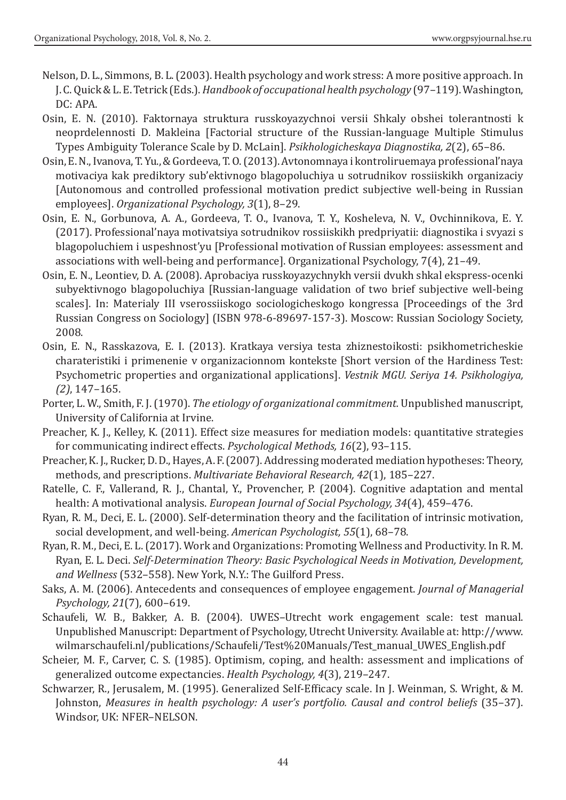- Nelson, D. L., Simmons, B. L. (2003). Health psychology and work stress: A more positive approach. In J. C. Quick & L. E. Tetrick (Eds.). *Handbook of occupational health psychology* (97–119). Washington, DC: APA.
- Osin, E. N. (2010). Faktornaya struktura russkoyazychnoi versii Shkaly obshei tolerantnosti k neoprdelennosti D. Makleina [Factorial structure of the Russian-language Multiple Stimulus Types Ambiguity Tolerance Scale by D. McLain]. *Psikhologicheskaya Diagnostika, 2*(2), 65–86.
- Osin, E. N., Ivanova, T. Yu., & Gordeeva, T. O. (2013). Avtonomnaya i kontroliruemaya professional'naya motivaciya kak prediktory sub'ektivnogo blagopoluchiya u sotrudnikov rossiiskikh organizaciy [Autonomous and controlled professional motivation predict subjective well-being in Russian employees]. *Organizational Psychology, 3*(1), 8–29.
- Osin, E. N., Gorbunova, A. A., Gordeeva, T. O., Ivanova, T. Y., Kosheleva, N. V., Ovchinnikova, E. Y. (2017). Professional'naya motivatsiya sotrudnikov rossiiskikh predpriyatii: diagnostika i svyazi s blagopoluchiem i uspeshnost'yu [Professional motivation of Russian employees: assessment and associations with well-being and performance]. Organizational Psychology, 7(4), 21–49.
- Osin, E. N., Leontiev, D. A. (2008). Aprobaciya russkoyazychnykh versii dvukh shkal ekspress-ocenki subyektivnogo blagopoluchiya [Russian-language validation of two brief subjective well-being scales]. In: Materialy III vserossiiskogo sociologicheskogo kongressa [Proceedings of the 3rd Russian Congress on Sociology] (ISBN 978-6-89697-157-3). Moscow: Russian Sociology Society, 2008.
- Osin, E. N., Rasskazova, E. I. (2013). Kratkaya versiya testa zhiznestoikosti: psikhometricheskie charateristiki i primenenie v organizacionnom kontekste [Short version of the Hardiness Test: Psychometric properties and organizational applications]. *Vestnik MGU. Seriya 14. Psikhologiya, (2)*, 147–165.
- Porter, L. W., Smith, F. J. (1970). *The etiology of organizational commitment.* Unpublished manuscript, University of California at Irvine.
- Preacher, K. J., Kelley, K. (2011). Effect size measures for mediation models: quantitative strategies for communicating indirect effects. *Psychological Methods, 16*(2), 93–115.
- Preacher, K. J., Rucker, D. D., Hayes, A. F. (2007). Addressing moderated mediation hypotheses: Theory, methods, and prescriptions. *Multivariate Behavioral Research, 42*(1), 185–227.
- Ratelle, C. F., Vallerand, R. J., Chantal, Y., Provencher, P. (2004). Cognitive adaptation and mental health: A motivational analysis. *European Journal of Social Psychology, 34*(4), 459–476.
- Ryan, R. M., Deci, E. L. (2000). Self-determination theory and the facilitation of intrinsic motivation, social development, and well-being. *American Psychologist, 55*(1), 68–78.
- Ryan, R. M., Deci, E. L. (2017). Work and Organizations: Promoting Wellness and Productivity. In R. M. Ryan, E. L. Deci. *Self-Determination Theory: Basic Psychological Needs in Motivation, Development, and Wellness* (532–558). New York, N.Y.: The Guilford Press.
- Saks, А. М. (2006). Antecedents and consequences of employee engagement. *Journal of Managerial Psychology, 21*(7), 600–619.
- Schaufeli, W. B., Bakker, A. B. (2004). UWES–Utrecht work engagement scale: test manual. Unpublished Manuscript: Department of Psychology, Utrecht University. Available at: http://www. wilmarschaufeli.nl/publications/Schaufeli/Test%20Manuals/Test\_manual\_UWES\_English.pdf
- Scheier, M. F., Carver, C. S. (1985). Optimism, coping, and health: assessment and implications of generalized outcome expectancies. *Health Psychology, 4*(3), 219–247.
- Schwarzer, R., Jerusalem, M. (1995). Generalized Self-Efficacy scale. In J. Weinman, S. Wright, & M. Johnston, *Measures in health psychology: A user's portfolio. Causal and control beliefs* (35–37). Windsor, UK: NFER–NELSON.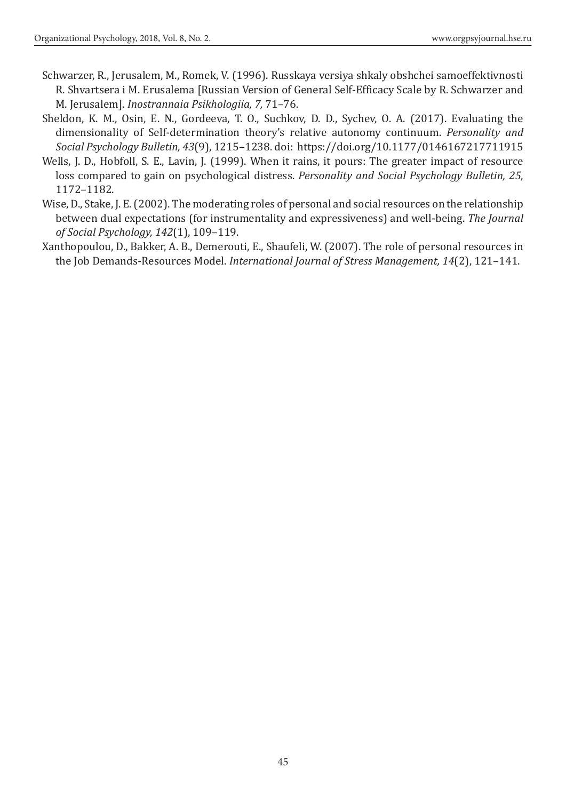- Schwarzer, R., Jerusalem, M., Romek, V. (1996). Russkaya versiya shkaly obshchei samoeffektivnosti R. Shvartsera i M. Erusalema [Russian Version of General Self-Efficacy Scale by R. Schwarzer and M. Jerusalem]. *Inostrannaia Psikhologiia, 7,* 71–76.
- Sheldon, K. M., Osin, E. N., Gordeeva, T. O., Suchkov, D. D., Sychev, O. A. (2017). Evaluating the dimensionality of Self-determination theory's relative autonomy continuum. *Personality and Social Psychology Bulletin, 43*(9), 1215–1238. doi: https://doi.org/10.1177/0146167217711915
- Wells, J. D., Hobfoll, S. E., Lavin, J. (1999). When it rains, it pours: The greater impact of resource loss compared to gain on psychological distress. *Personality and Social Psychology Bulletin, 25*, 1172–1182.
- Wise, D., Stake, J. E. (2002). The moderating roles of personal and social resources on the relationship between dual expectations (for instrumentality and expressiveness) and well-being. *The Journal of Social Psychology, 142*(1), 109–119.
- Xanthopoulou, D., Bakker, A. B., Demerouti, E., Shaufeli, W. (2007). The role of personal resources in the Job Demands-Resources Model. *International Journal of Stress Management, 14*(2), 121–141.